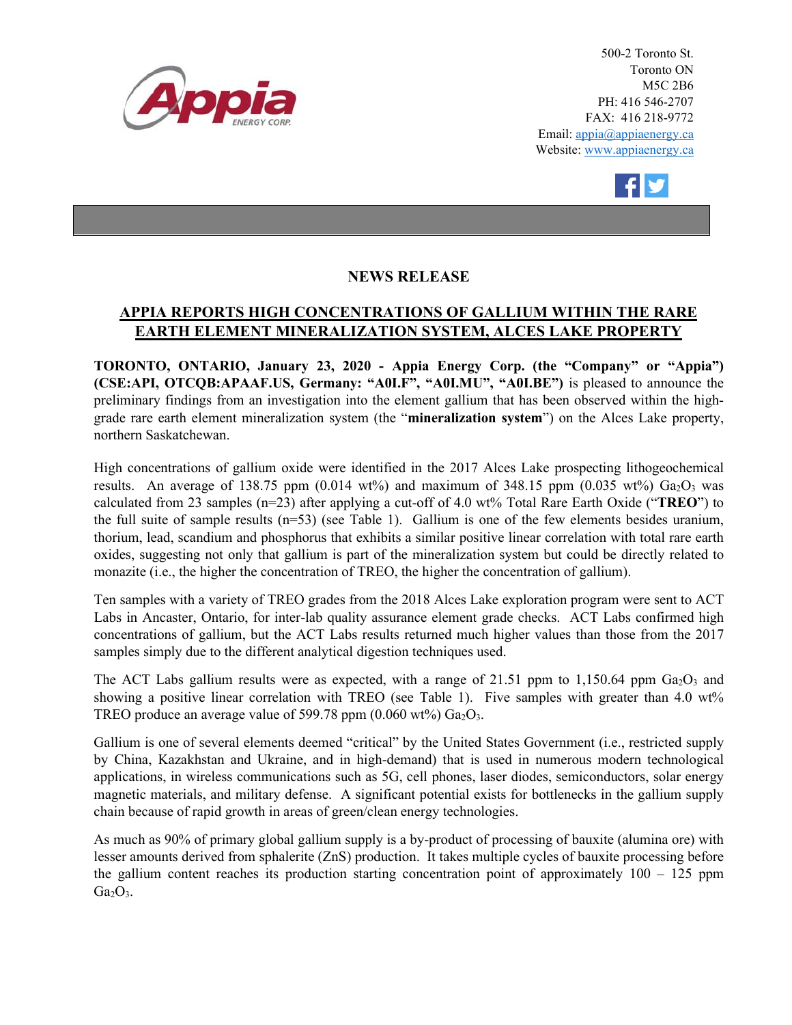

500-2 Toronto St. Toronto ON M5C 2B6 PH: 416 546-2707 FAX: 416 218-9772 Email: appia@appiaenergy.ca Website: www.appiaenergy.ca



## **NEWS RELEASE**

## **APPIA REPORTS HIGH CONCENTRATIONS OF GALLIUM WITHIN THE RARE EARTH ELEMENT MINERALIZATION SYSTEM, ALCES LAKE PROPERTY**

**TORONTO, ONTARIO, January 23, 2020 - Appia Energy Corp. (the "Company" or "Appia") (CSE:API, OTCQB:APAAF.US, Germany: "A0I.F", "A0I.MU", "A0I.BE")** is pleased to announce the preliminary findings from an investigation into the element gallium that has been observed within the highgrade rare earth element mineralization system (the "**mineralization system**") on the Alces Lake property, northern Saskatchewan.

High concentrations of gallium oxide were identified in the 2017 Alces Lake prospecting lithogeochemical results. An average of 138.75 ppm (0.014 wt%) and maximum of 348.15 ppm (0.035 wt%) Ga<sub>2</sub>O<sub>3</sub> was calculated from 23 samples (n=23) after applying a cut-off of 4.0 wt% Total Rare Earth Oxide ("**TREO**") to the full suite of sample results (n=53) (see Table 1). Gallium is one of the few elements besides uranium, thorium, lead, scandium and phosphorus that exhibits a similar positive linear correlation with total rare earth oxides, suggesting not only that gallium is part of the mineralization system but could be directly related to monazite (i.e., the higher the concentration of TREO, the higher the concentration of gallium).

Ten samples with a variety of TREO grades from the 2018 Alces Lake exploration program were sent to ACT Labs in Ancaster, Ontario, for inter-lab quality assurance element grade checks. ACT Labs confirmed high concentrations of gallium, but the ACT Labs results returned much higher values than those from the 2017 samples simply due to the different analytical digestion techniques used.

The ACT Labs gallium results were as expected, with a range of 21.51 ppm to 1,150.64 ppm  $Ga_2O_3$  and showing a positive linear correlation with TREO (see Table 1). Five samples with greater than 4.0 wt% TREO produce an average value of 599.78 ppm  $(0.060 \text{ wt\%})$  Ga<sub>2</sub>O<sub>3</sub>.

Gallium is one of several elements deemed "critical" by the United States Government (i.e., restricted supply by China, Kazakhstan and Ukraine, and in high-demand) that is used in numerous modern technological applications, in [wireless communications](http://www.canadianminingjournal.com/news/metals-commentary-5g-technology-should-boost-demand-for-gallium-cobalt/?ctname%3dMetals+Commentary%3a+5G+technology+should+boost+demand+for+gallium%2c+cobalt) such as 5G, cell phones, laser diodes, semiconductors, solar energy magnetic materials, and military defense. A significant potential exists for bottlenecks in the gallium supply chain because of rapid growth in areas of green/clean energy technologies.

As much as 90% of primary global gallium supply is a by-product of processing of bauxite (alumina ore) with lesser amounts derived from sphalerite (ZnS) production. It takes multiple cycles of bauxite processing before the gallium content reaches its production starting concentration point of approximately 100 – 125 ppm  $Ga<sub>2</sub>O<sub>3</sub>$ .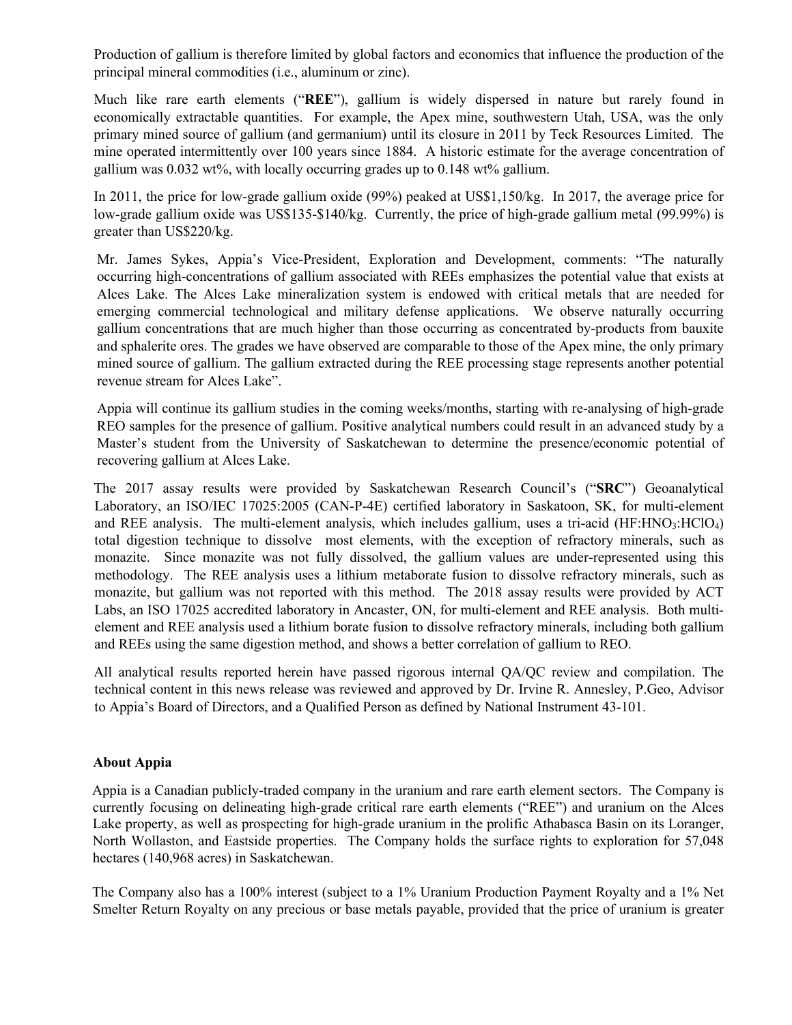Production of gallium is therefore limited by global factors and economics that influence the production of the principal mineral commodities (i.e., aluminum or zinc).

Much like rare earth elements ("**REE**"), gallium is widely dispersed in nature but rarely found in economically extractable quantities. For example, the Apex mine, southwestern Utah, USA, was the only primary mined source of gallium (and germanium) until its closure in 2011 by Teck Resources Limited. The mine operated intermittently over 100 years since 1884. A historic estimate for the average concentration of gallium was  $0.032$  wt%, with locally occurring grades up to  $0.148$  wt% gallium.

In 2011, the price for low-grade gallium oxide (99%) peaked at US\$1,150/kg. In 2017, the average price for low-grade gallium oxide was US\$135-\$140/kg. Currently, the price of high-grade gallium metal (99.99%) is greater than US\$220/kg.

Mr. James Sykes, Appia's Vice-President, Exploration and Development, comments: "The naturally occurring high-concentrations of gallium associated with REEs emphasizes the potential value that exists at Alces Lake. The Alces Lake mineralization system is endowed with critical metals that are needed for emerging commercial technological and military defense applications. We observe naturally occurring gallium concentrations that are much higher than those occurring as concentrated by-products from bauxite and sphalerite ores. The grades we have observed are comparable to those of the Apex mine, the only primary mined source of gallium. The gallium extracted during the REE processing stage represents another potential revenue stream for Alces Lake".

Appia will continue its gallium studies in the coming weeks/months, starting with re-analysing of high-grade REO samples for the presence of gallium. Positive analytical numbers could result in an advanced study by a Master's student from the University of Saskatchewan to determine the presence/economic potential of recovering gallium at Alces Lake.

The 2017 assay results were provided by Saskatchewan Research Council's ("**SRC**") Geoanalytical Laboratory, an ISO/IEC 17025:2005 (CAN-P-4E) certified laboratory in Saskatoon, SK, for multi-element and REE analysis. The multi-element analysis, which includes gallium, uses a tri-acid  $(HF: HNO<sub>3</sub>: HClO<sub>4</sub>)$ total digestion technique to dissolve most elements, with the exception of refractory minerals, such as monazite. Since monazite was not fully dissolved, the gallium values are under-represented using this methodology. The REE analysis uses a lithium metaborate fusion to dissolve refractory minerals, such as monazite, but gallium was not reported with this method. The 2018 assay results were provided by ACT Labs, an ISO 17025 accredited laboratory in Ancaster, ON, for multi-element and REE analysis. Both multielement and REE analysis used a lithium borate fusion to dissolve refractory minerals, including both gallium and REEs using the same digestion method, and shows a better correlation of gallium to REO.

All analytical results reported herein have passed rigorous internal QA/QC review and compilation. The technical content in this news release was reviewed and approved by Dr. Irvine R. Annesley, P.Geo, Advisor to Appia's Board of Directors, and a Qualified Person as defined by National Instrument 43-101.

## **About Appia**

Appia is a Canadian publicly-traded company in the uranium and rare earth element sectors. The Company is currently focusing on delineating high-grade critical rare earth elements ("REE") and uranium on the Alces Lake property, as well as prospecting for high-grade uranium in the prolific Athabasca Basin on its Loranger, North Wollaston, and Eastside properties. The Company holds the surface rights to exploration for 57,048 hectares (140,968 acres) in Saskatchewan.

The Company also has a 100% interest (subject to a 1% Uranium Production Payment Royalty and a 1% Net Smelter Return Royalty on any precious or base metals payable, provided that the price of uranium is greater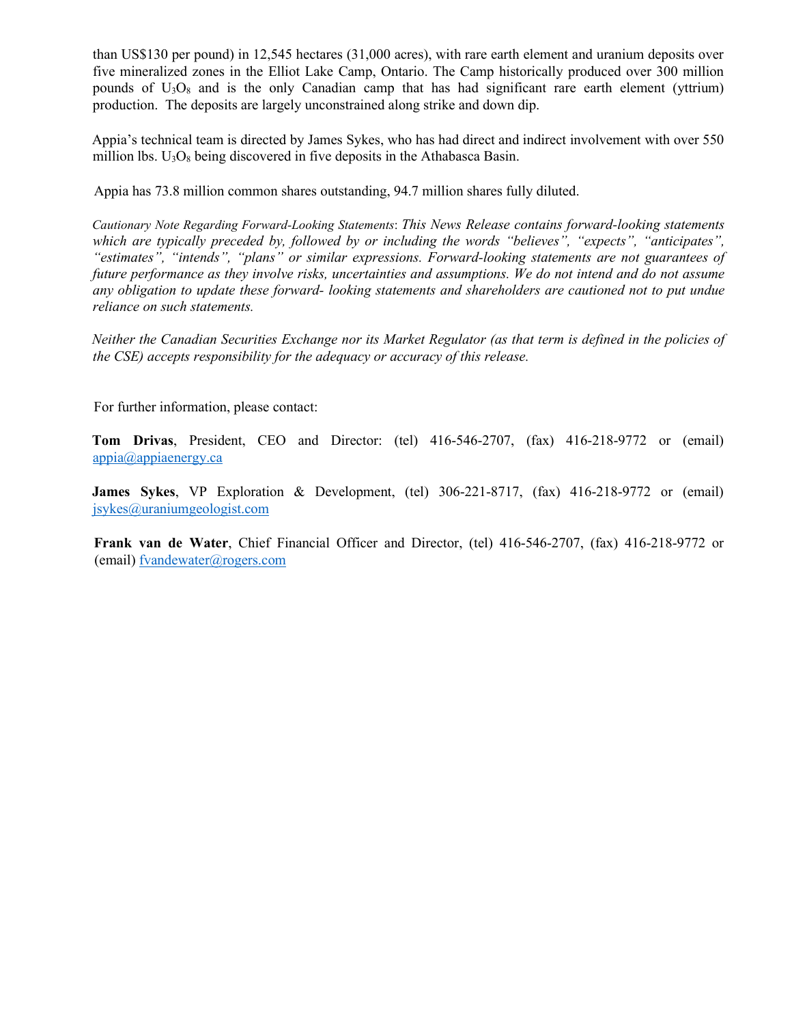than US\$130 per pound) in 12,545 hectares (31,000 acres), with rare earth element and uranium deposits over five mineralized zones in the Elliot Lake Camp, Ontario. The Camp historically produced over 300 million pounds of  $U_3O_8$  and is the only Canadian camp that has had significant rare earth element (yttrium) production. The deposits are largely unconstrained along strike and down dip.

Appia's technical team is directed by James Sykes, who has had direct and indirect involvement with over 550 million lbs.  $U_3O_8$  being discovered in five deposits in the Athabasca Basin.

Appia has 73.8 million common shares outstanding, 94.7 million shares fully diluted.

*Cautionary Note Regarding Forward-Looking Statements*: *This News Release contains forward-looking statements which are typically preceded by, followed by or including the words "believes", "expects", "anticipates", "estimates", "intends", "plans" or similar expressions. Forward-looking statements are not guarantees of future performance as they involve risks, uncertainties and assumptions. We do not intend and do not assume any obligation to update these forward- looking statements and shareholders are cautioned not to put undue reliance on such statements.* 

*Neither the Canadian Securities Exchange nor its Market Regulator (as that term is defined in the policies of the CSE) accepts responsibility for the adequacy or accuracy of this release.* 

For further information, please contact:

**Tom Drivas**, President, CEO and Director: (tel) 416-546-2707, (fax) 416-218-9772 or (email) [appia@appiaenergy.ca](mailto:appia@appiaenergy.ca) 

**James Sykes**, VP Exploration & Development, (tel) 306-221-8717, (fax) 416-218-9772 or (email) [jsykes@uraniumgeologist.com](mailto:jsykes@uraniumgeologist.com) 

**Frank van de Water**, Chief Financial Officer and Director, (tel) 416-546-2707, (fax) 416-218-9772 or (email) [fvandewater@rogers.com](mailto:fvandewater@rogers.com)